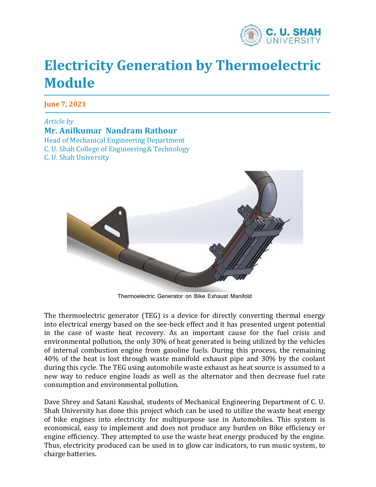

## **Electricity Generation by Thermoelectric Module**

**June 7, 2021**

*Article by* **Mr. Anilkumar Nandram Rathour** Head of Mechanical Engineering Department C. U. Shah College of Engineering& Technology C. U. Shah University



Thermoelectric Generator on Bike Exhaust Manifold

The thermoelectric generator (TEG) is a device for directly converting thermal energy into electrical energy based on the see-beck effect and it has presented urgent potential in the case of waste heat recovery. As an important cause for the fuel crisis and environmental pollution, the only 30% of heat generated is being utilized by the vehicles of internal combustion engine from gasoline fuels. During this process, the remaining 40% of the heat is lost through waste manifold exhaust pipe and 30% by the coolant during this cycle. The TEG using automobile waste exhaust as heat source is assumed to a new way to reduce engine loads as well as the alternator and then decrease fuel rate consumption and environmental pollution.

Dave Shrey and Satani Kaushal, students of Mechanical Engineering Department of C. U. Shah University has done this project which can be used to utilize the waste heat energy of bike engines into electricity for multipurpose use in Automobiles. This system is economical, easy to implement and does not produce any burden on Bike efficiency or engine efficiency. They attempted to use the waste heat energy produced by the engine. Thus, electricity produced can be used in to glow car indicators, to run music system, to charge batteries.